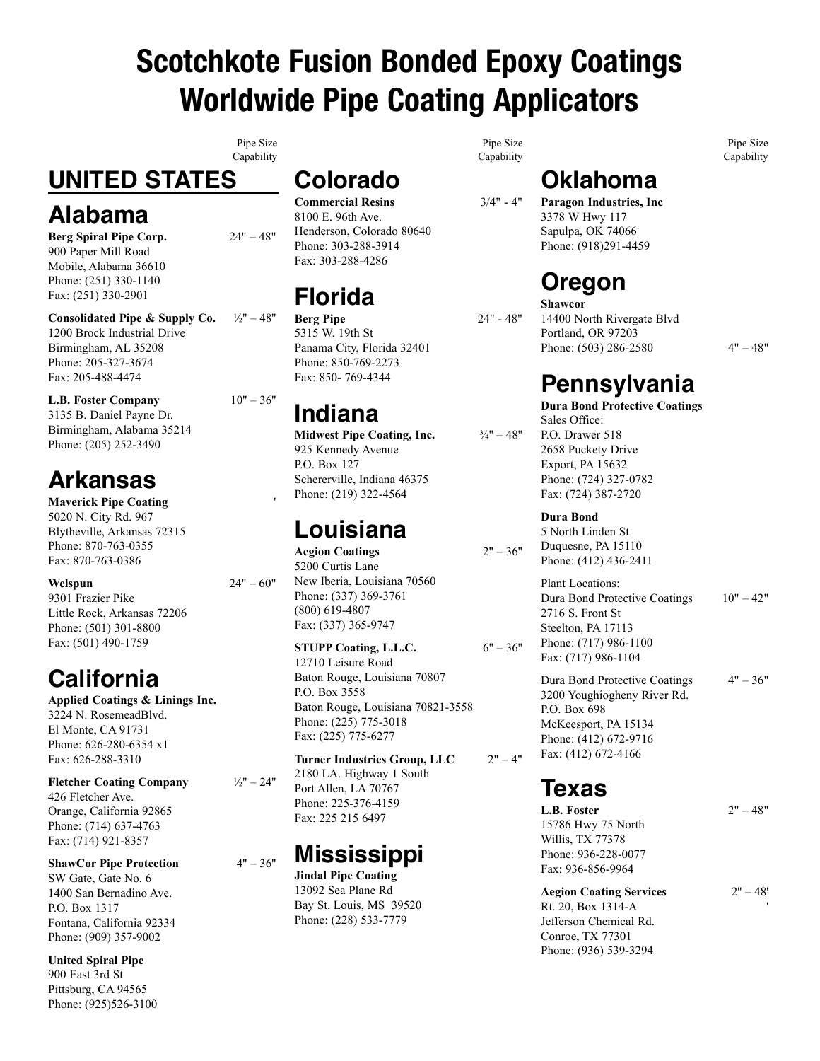# Scotchkote Fusion Bonded Epoxy Coatings Worldwide Pipe Coating Applicators

Pipe Size Capability

# **UNITED STATES**

### **Alabama**

**Berg Spiral Pipe Corp.** 24" – 48" 900 Paper Mill Road Mobile, Alabama 36610 Phone: (251) 330-1140 Fax: (251) 330-2901

**Consolidated Pipe & Supply Co.** ½'' – 48'' 1200 Brock Industrial Drive Birmingham, AL 35208 Phone: 205-327-3674 Fax: 205-488-4474

**L.B. Foster Company**  $10" - 36"$ 3135 B. Daniel Payne Dr. Birmingham, Alabama 35214 Phone: (205) 252-3490

# **Arkansas**

**Maverick Pipe Coating** 5020 N. City Rd. 967 Blytheville, Arkansas 72315 Phone: 870-763-0355 Fax: 870-763-0386

#### **Welspun** 24" – 60"

9301 Frazier Pike Little Rock, Arkansas 72206 Phone: (501) 301-8800 Fax: (501) 490-1759

# **California**

**Applied Coatings & Linings Inc.** 3224 N. RosemeadBlvd. El Monte, CA 91731 Phone: 626-280-6354 x1 Fax: 626-288-3310

**Fletcher Coating Company**  $\frac{1}{2}$ " – 24" 426 Fletcher Ave. Orange, California 92865 Phone: (714) 637-4763 Fax: (714) 921-8357

**ShawCor Pipe Protection**  $4" - 36"$ SW Gate, Gate No. 6 1400 San Bernadino Ave. P.O. Box 1317 Fontana, California 92334 Phone: (909) 357-9002

**United Spiral Pipe** 900 East 3rd St Pittsburg, CA 94565 Phone: (925)526-3100

# **Colorado**

**Commercial Resins** 3/4" - 4" 8100 E. 96th Ave. Henderson, Colorado 80640 Phone: 303-288-3914 Fax: 303-288-4286

# **Florida**

**Berg Pipe** 24" - 48" 5315 W. 19th St Panama City, Florida 32401 Phone: 850-769-2273 Fax: 850- 769-4344

## **Indiana**

**Midwest Pipe Coating, Inc.**  $\frac{3}{4}$ <sup>n</sup> – 48<sup>°</sup> 925 Kennedy Avenue P.O. Box 127 Schererville, Indiana 46375 Phone: (219) 322-4564

## **Louisiana**

**Aegion Coatings** 2'' – 36'' 5200 Curtis Lane New Iberia, Louisiana 70560 Phone: (337) 369-3761 (800) 619-4807 Fax: (337) 365-9747

#### **STUPP Coating, L.L.C.**  $6" - 36"$

12710 Leisure Road Baton Rouge, Louisiana 70807 P.O. Box 3558 Baton Rouge, Louisiana 70821-3558 Phone: (225) 775-3018 Fax: (225) 775-6277

**Turner Industries Group, LLC** 2" – 4" 2180 LA. Highway 1 South Port Allen, LA 70767 Phone: 225-376-4159 Fax: 225 215 6497

## **Mississippi**

**Jindal Pipe Coating** 13092 Sea Plane Rd Bay St. Louis, MS 39520 Phone: (228) 533-7779

Pipe Size Capability

> **Oklahoma Paragon Industries, Inc** 3378 W Hwy 117 Sapulpa, OK 74066 Phone: (918)291-4459

## **Oregon**

**Shawcor** 14400 North Rivergate Blvd Portland, OR 97203 Phone: (503) 286-2580  $4" - 48"$ 

Pipe Size Capability

# **Pennsylvania**

**Dura Bond Protective Coatings** Sales Office: P.O. Drawer 518 2658 Puckety Drive Export, PA 15632 Phone: (724) 327-0782 Fax: (724) 387-2720

#### **Dura Bond**

5 North Linden St Duquesne, PA 15110 Phone: (412) 436-2411

Plant Locations: Dura Bond Protective Coatings 10" – 42" 2716 S. Front St Steelton, PA 17113 Phone: (717) 986-1100 Fax: (717) 986-1104

Dura Bond Protective Coatings 4" – 36" 3200 Youghiogheny River Rd. P.O. Box 698 McKeesport, PA 15134 Phone: (412) 672-9716 Fax: (412) 672-4166

## **Texas**

**L.B. Foster** 2" – 48" 15786 Hwy 75 North Willis, TX 77378 Phone: 936-228-0077 Fax: 936-856-9964

**Aegion Coating Services** 2'' – 48' Rt. 20, Box 1314-A Jefferson Chemical Rd. Conroe, TX 77301 Phone: (936) 539-3294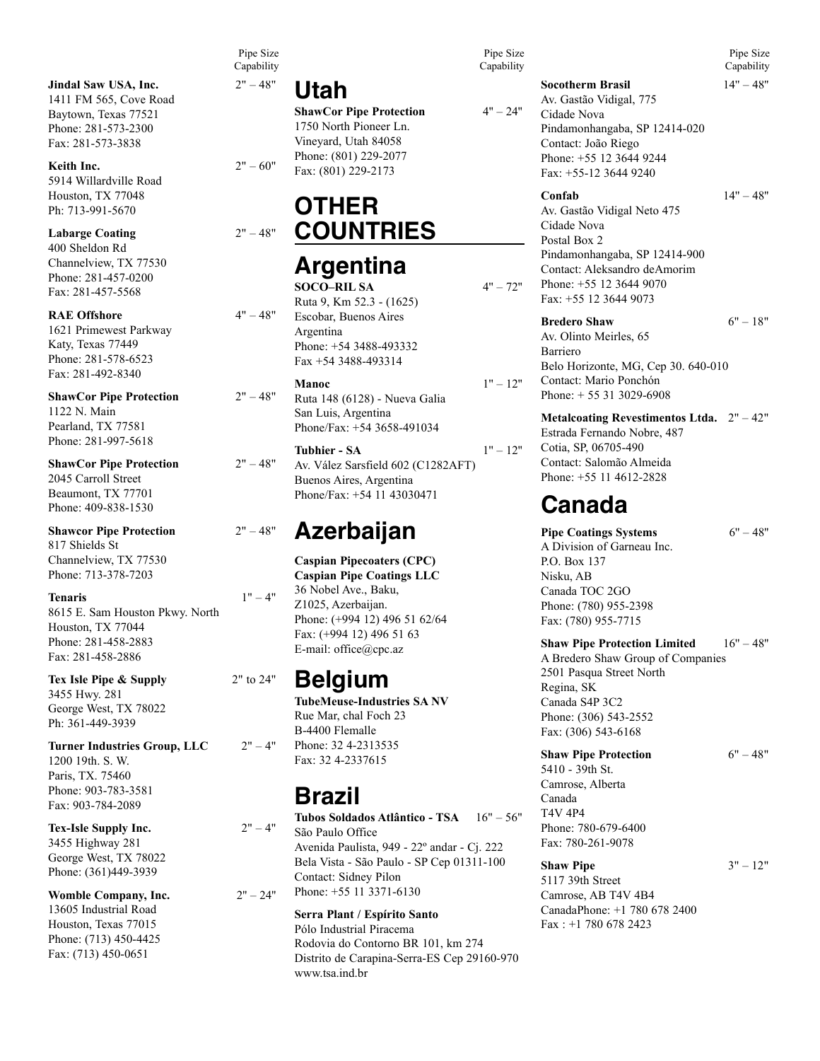**Jindal Saw USA, Inc.** 2" – 48" 1411 FM 565, Cove Road Baytown, Texas 77521 Phone: 281-573-2300 Fax: 281-573-3838

**Keith Inc.** 2" – 60" 5914 Willardville Road Houston, TX 77048 Ph: 713-991-5670

#### **Labarge Coating** 2" – 48"

400 Sheldon Rd Channelview, TX 77530 Phone: 281-457-0200 Fax: 281-457-5568

**RAE Offshore** 4" – 48" 1621 Primewest Parkway Katy, Texas 77449 Phone: 281-578-6523 Fax: 281-492-8340

**ShawCor Pipe Protection** 2" – 48" 1122 N. Main Pearland, TX 77581 Phone: 281-997-5618

**ShawCor Pipe Protection** 2" – 48" 2045 Carroll Street Beaumont, TX 77701 Phone: 409-838-1530

**Shawcor Pipe Protection** 2" – 48" 817 Shields St Channelview, TX 77530 Phone: 713-378-7203

#### **Tenaris** 1" – 4"

8615 E. Sam Houston Pkwy. North Houston, TX 77044 Phone: 281-458-2883 Fax: 281-458-2886

**Tex Isle Pipe & Supply** 2" to 24" 3455 Hwy. 281 George West, TX 78022 Ph: 361-449-3939

**Turner Industries Group, LLC** 2" – 4" 1200 19th. S. W. Paris, TX. 75460 Phone: 903-783-3581 Fax: 903-784-2089

**Tex-Isle Supply Inc.**  $2^{\prime\prime} - 4^{\prime\prime}$ 3455 Highway 281 George West, TX 78022 Phone: (361)449-3939

**Womble Company, Inc.**  $2" - 24"$ 13605 Industrial Road Houston, Texas 77015 Phone: (713) 450-4425 Fax: (713) 450-0651

Pipe Size Capability

### **Utah**

**ShawCor Pipe Protection**  $4" - 24"$ 1750 North Pioneer Ln. Vineyard, Utah 84058 Phone: (801) 229-2077 Fax: (801) 229-2173

## **OTHER COUNTRIES**

### **Argentina**

**SOCO–RIL SA**  $4" - 72"$ Ruta 9, Km 52.3 - (1625) Escobar, Buenos Aires Argentina Phone: +54 3488-493332 Fax +54 3488-493314

#### **Manoc** 1'' – 12''

Ruta 148 (6128) - Nueva Galia San Luis, Argentina Phone/Fax: +54 3658-491034

**Tubhier - SA** 1" – 12" Av. Vález Sarsfield 602 (C1282AFT) Buenos Aires, Argentina Phone/Fax: +54 11 43030471

### **Azerbaijan**

**Caspian Pipecoaters (CPC) Caspian Pipe Coatings LLC** 36 Nobel Ave., Baku, Z1025, Azerbaijan. Phone: (+994 12) 496 51 62/64 Fax: (+994 12) 496 51 63 E-mail: office@cpc.az

### **Belgium**

**TubeMeuse-Industries SA NV** Rue Mar, chal Foch 23 B-4400 Flemalle Phone: 32 4-2313535 Fax: 32 4-2337615

### **Brazil**

**Tubos Soldados Atlântico - TSA** 16" – 56" São Paulo Office Avenida Paulista, 949 - 22º andar - Cj. 222 Bela Vista - São Paulo - SP Cep 01311-100 Contact: Sidney Pilon Phone: +55 11 3371-6130

#### **Serra Plant / Espírito Santo**

Pólo Industrial Piracema Rodovia do Contorno BR 101, km 274 Distrito de Carapina-Serra-ES Cep 29160-970 www.tsa.ind.br

Pipe Size Capability

**Socotherm Brasil** 14" – 48"

Pipe Size Capability

Av. Gastão Vidigal, 775 Cidade Nova Pindamonhangaba, SP 12414-020 Contact: João Riego Phone: +55 12 3644 9244 Fax: +55-12 3644 9240

#### **Confab** 14'' – 48''

Av. Gastão Vidigal Neto 475 Cidade Nova Postal Box 2 Pindamonhangaba, SP 12414-900 Contact: Aleksandro deAmorim Phone: +55 12 3644 9070 Fax: +55 12 3644 9073

#### **Bredero Shaw** 6" – 18"

Av. Olinto Meirles, 65 Barriero Belo Horizonte, MG, Cep 30. 640-010 Contact: Mario Ponchón Phone: + 55 31 3029-6908

#### **Metalcoating Revestimentos Ltda.** 2" – 42"

Estrada Fernando Nobre, 487 Cotia, SP, 06705-490 Contact: Salomão Almeida Phone: +55 11 4612-2828

### **Canada**

**Pipe Coatings Systems** 6" – 48" A Division of Garneau Inc. P.O. Box 137 Nisku, AB Canada TOC 2GO Phone: (780) 955-2398 Fax: (780) 955-7715

#### **Shaw Pipe Protection Limited** 16" – 48"

A Bredero Shaw Group of Companies 2501 Pasqua Street North Regina, SK Canada S4P 3C2 Phone: (306) 543-2552 Fax: (306) 543-6168

**Shaw Pipe Protection** 6" – 48"

5410 - 39th St. Camrose, Alberta Canada T4V 4P4 Phone: 780-679-6400 Fax: 780-261-9078

**Shaw Pipe** 3" – 12" 5117 39th Street Camrose, AB T4V 4B4 CanadaPhone: +1 780 678 2400 Fax : +1 780 678 2423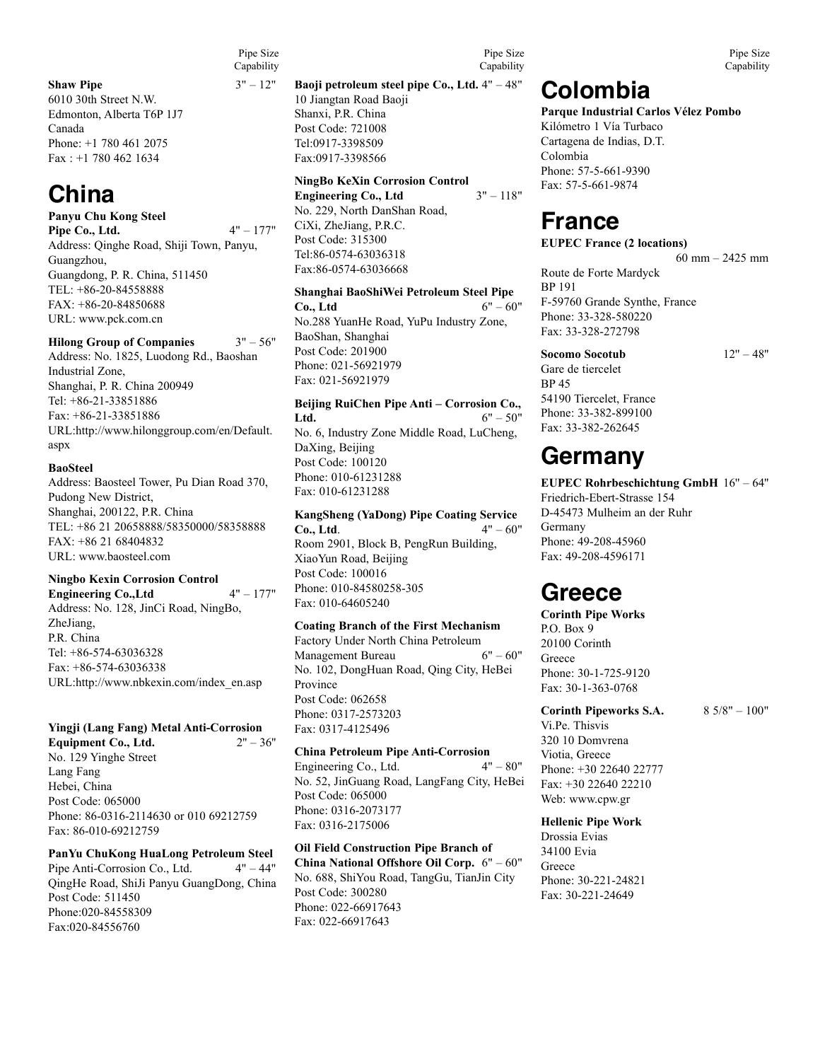#### **Shaw Pipe**  $3" - 12"$

6010 30th Street N.W. Edmonton, Alberta T6P 1J7 Canada Phone: +1 780 461 2075 Fax : +1 780 462 1634

### **China**

**Panyu Chu Kong Steel Pipe Co., Ltd.** 4" – 177" Address: Qinghe Road, Shiji Town, Panyu, Guangzhou, Guangdong, P. R. China, 511450 TEL: +86-20-84558888 FAX: +86-20-84850688 URL: www.pck.com.cn

#### **Hilong Group of Companies**  $3" - 56"$

Address: No. 1825, Luodong Rd., Baoshan Industrial Zone, Shanghai, P. R. China 200949 Tel: +86-21-33851886 Fax: +86-21-33851886 URL:http://www.hilonggroup.com/en/Default. aspx

#### **BaoSteel**

Address: Baosteel Tower, Pu Dian Road 370, Pudong New District, Shanghai, 200122, P.R. China TEL: +86 21 20658888/58350000/58358888 FAX: +86 21 68404832 URL: www.baosteel.com

#### **Ningbo Kexin Corrosion Control**

**Engineering Co., Ltd**  $4" - 177"$ Address: No. 128, JinCi Road, NingBo, ZheJiang, P.R. China Tel: +86-574-63036328 Fax: +86-574-63036338 URL:http://www.nbkexin.com/index\_en.asp

### **Yingji (Lang Fang) Metal Anti-Corrosion**

**Equipment Co., Ltd.** No. 129 Yinghe Street Lang Fang Hebei, China Post Code: 065000 Phone: 86-0316-2114630 or 010 69212759 Fax: 86-010-69212759

**PanYu ChuKong HuaLong Petroleum Steel**  Pipe Anti-Corrosion Co., Ltd. 4" – 44" QingHe Road, ShiJi Panyu GuangDong, China Post Code: 511450 Phone:020-84558309 Fax:020-84556760

Pipe Size Capability

> **Baoji petroleum steel pipe Co., Ltd.** 4" – 48" 10 Jiangtan Road Baoji

Shanxi, P.R. China Post Code: 721008 Tel:0917-3398509 Fax:0917-3398566

#### **NingBo KeXin Corrosion Control**

**Engineering Co., Ltd** 3" – 118" No. 229, North DanShan Road, CiXi, ZheJiang, P.R.C. Post Code: 315300 Tel:86-0574-63036318 Fax:86-0574-63036668

#### **Shanghai BaoShiWei Petroleum Steel Pipe Co., Ltd**  $6" - 60"$ No.288 YuanHe Road, YuPu Industry Zone, BaoShan, Shanghai

Post Code: 201900 Phone: 021-56921979 Fax: 021-56921979

**Beijing RuiChen Pipe Anti – Corrosion Co., Ltd.**  $6" - 50"$ No. 6, Industry Zone Middle Road, LuCheng, DaXing, Beijing Post Code: 100120 Phone: 010-61231288 Fax: 010-61231288

**KangSheng (YaDong) Pipe Coating Service Co., Ltd.**  $4" - 60"$ Room 2901, Block B, PengRun Building, XiaoYun Road, Beijing Post Code: 100016 Phone: 010-84580258-305 Fax: 010-64605240

#### **Coating Branch of the First Mechanism**

Factory Under North China Petroleum<br>Management Bureau 6" – 60" Management Bureau No. 102, DongHuan Road, Qing City, HeBei Province Post Code: 062658 Phone: 0317-2573203 Fax: 0317-4125496

#### **China Petroleum Pipe Anti-Corrosion**  Engineering Co., Ltd.  $4" - 80"$

No. 52, JinGuang Road, LangFang City, HeBei Post Code: 065000 Phone: 0316-2073177 Fax: 0316-2175006

#### **Oil Field Construction Pipe Branch of**

**China National Offshore Oil Corp.** 6" – 60" No. 688, ShiYou Road, TangGu, TianJin City Post Code: 300280 Phone: 022-66917643 Fax: 022-66917643

**Colombia**

#### **Parque Industrial Carlos Vélez Pombo**

Kilómetro 1 Vía Turbaco Cartagena de Indias, D.T. Colombia Phone: 57-5-661-9390 Fax: 57-5-661-9874

### **France**

**EUPEC France (2 locations)** 60 mm – 2425 mm

Route de Forte Mardyck BP 191 F-59760 Grande Synthe, France Phone: 33-328-580220 Fax: 33-328-272798

Gare de tiercelet BP 45 54190 Tiercelet, France Phone: 33-382-899100 Fax: 33-382-262645

### **Germany**

**EUPEC Rohrbeschichtung GmbH** 16'' – 64'' Friedrich-Ebert-Strasse 154 D-45473 Mulheim an der Ruhr Germany Phone: 49-208-45960 Fax: 49-208-4596171

### **Greece**

**Corinth Pipe Works** P.O. Box 9 20100 Corinth Greece Phone: 30-1-725-9120 Fax: 30-1-363-0768

#### **Corinth Pipeworks S.A.** 8 5/8" – 100"

Vi.Pe. Thisvis 320 10 Domvrena Viotia, Greece Phone: +30 22640 22777 Fax: +30 22640 22210 Web: www.cpw.gr

#### **Hellenic Pipe Work**

Drossia Evias 34100 Evia **Greece** Phone: 30-221-24821 Fax: 30-221-24649

Pipe Size **Capability** 

### **Socomo Socotub** 12" – 48"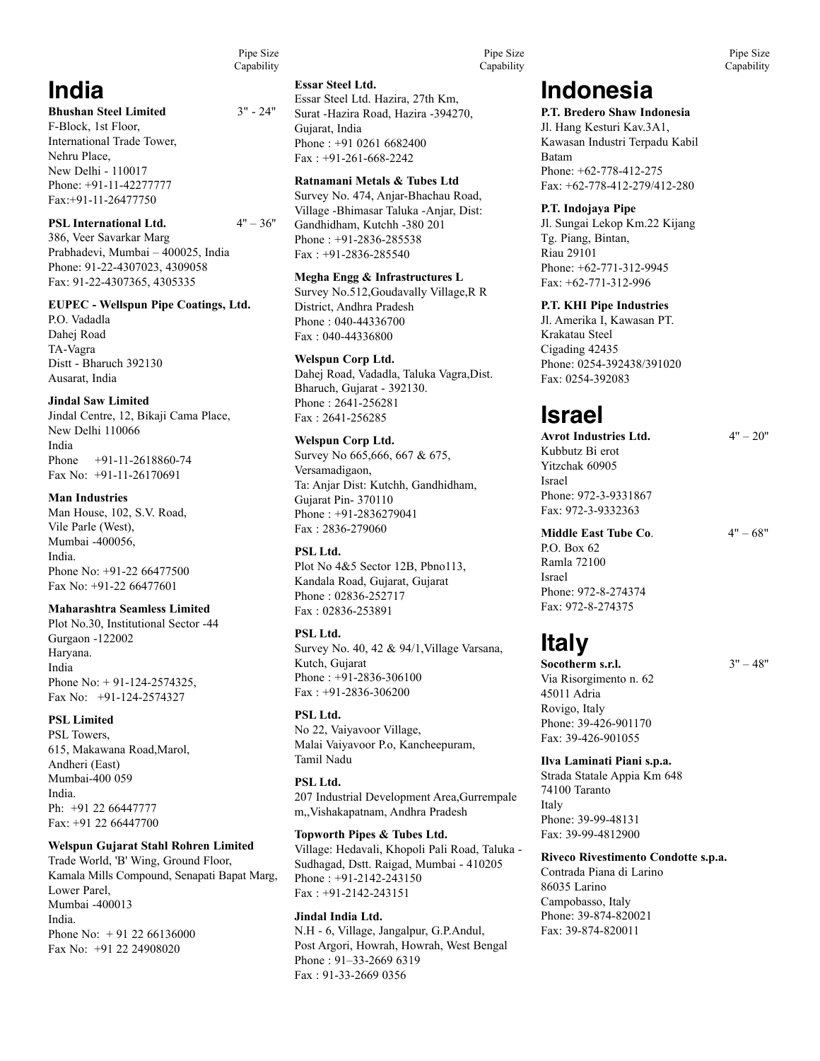Pipe Size Capability

### **India**

#### **Bhushan Steel Limited** 3" - 24"

F-Block, 1st Floor, International Trade Tower, Nehru Place, New Delhi - 110017 Phone: +91-11-42277777 Fax:+91-11-26477750

#### **PSL International Ltd.**  $4" - 36"$

386, Veer Savarkar Marg Prabhadevi, Mumbai – 400025, India Phone: 91-22-4307023, 4309058 Fax: 91-22-4307365, 4305335

#### **EUPEC - Wellspun Pipe Coatings, Ltd.**

P.O. Vadadla Dahej Road TA-Vagra Distt - Bharuch 392130 Ausarat, India

#### **Jindal Saw Limited**

Jindal Centre, 12, Bikaji Cama Place, New Delhi 110066 India Phone +91-11-2618860-74 Fax No: +91-11-26170691

#### **Man Industries**

Man House, 102, S.V. Road, Vile Parle (West), Mumbai -400056, India. Phone No: +91-22 66477500 Fax No: +91-22 66477601

#### **Maharashtra Seamless Limited**

Plot No.30, Institutional Sector -44 Gurgaon -122002 Haryana. India Phone No: + 91-124-2574325, Fax No: +91-124-2574327

#### **PSL Limited**

PSL Towers, 615, Makawana Road,Marol, Andheri (East) Mumbai-400 059 India. Ph: +91 22 66447777 Fax: +91 22 66447700

#### **Welspun Gujarat Stahl Rohren Limited**

Trade World, 'B' Wing, Ground Floor, Kamala Mills Compound, Senapati Bapat Marg, Lower Parel, Mumbai -400013 India. Phone No: + 91 22 66136000 Fax No: +91 22 24908020

#### **Essar Steel Ltd.**

Essar Steel Ltd. Hazira, 27th Km, Surat -Hazira Road, Hazira -394270, Gujarat, India Phone : +91 0261 6682400  $Fax : +91-261-668-2242$ 

#### **Ratnamani Metals & Tubes Ltd**

Survey No. 474, Anjar-Bhachau Road, Village -Bhimasar Taluka -Anjar, Dist: Gandhidham, Kutchh -380 201 Phone : +91-2836-285538 Fax : +91-2836-285540

#### **Megha Engg & Infrastructures L**

Survey No.512,Goudavally Village,R R District, Andhra Pradesh Phone : 040-44336700 Fax : 040-44336800

#### **Welspun Corp Ltd.**

Dahej Road, Vadadla, Taluka Vagra,Dist. Bharuch, Gujarat - 392130. Phone : 2641-256281 Fax : 2641-256285

#### **Welspun Corp Ltd.**

Survey No 665,666, 667 & 675, Versamadigaon, Ta: Anjar Dist: Kutchh, Gandhidham, Gujarat Pin- 370110 Phone : +91-2836279041 Fax : 2836-279060

#### **PSL Ltd.**

Plot No 4&5 Sector 12B, Pbno113, Kandala Road, Gujarat, Gujarat Phone : 02836-252717 Fax : 02836-253891

#### **PSL Ltd.**

Survey No. 40, 42 & 94/1,Village Varsana, Kutch, Gujarat Phone : +91-2836-306100 Fax : +91-2836-306200

#### **PSL Ltd.**

No 22, Vaiyavoor Village, Malai Vaiyavoor P.o, Kancheepuram, Tamil Nadu

#### **PSL Ltd.**

207 Industrial Development Area,Gurrempale m,,Vishakapatnam, Andhra Pradesh

#### **Topworth Pipes & Tubes Ltd.**

Village: Hedavali, Khopoli Pali Road, Taluka - Sudhagad, Dstt. Raigad, Mumbai - 410205 Phone : +91-2142-243150 Fax : +91-2142-243151

#### **Jindal India Ltd.**

N.H - 6, Village, Jangalpur, G.P.Andul, Post Argori, Howrah, Howrah, West Bengal Phone : 91–33-2669 6319 Fax : 91-33-2669 0356

### **Indonesia**

#### **P.T. Bredero Shaw Indonesia**

Jl. Hang Kesturi Kav.3A1, Kawasan Industri Terpadu Kabil Batam Phone: +62-778-412-275 Fax: +62-778-412-279/412-280

#### **P.T. Indojaya Pipe**

Jl. Sungai Lekop Km.22 Kijang Tg. Piang, Bintan, Riau 29101 Phone: +62-771-312-9945 Fax: +62-771-312-996

#### **P.T. KHI Pipe Industries**

Jl. Amerika I, Kawasan PT. Krakatau Steel Cigading 42435 Phone: 0254-392438/391020 Fax: 0254-392083

## **Israel**

Avrot Industries Ltd. 4" – 20" Kubbutz Bi erot Yitzchak 60905 Israel Phone: 972-3-9331867 Fax: 972-3-9332363

**Middle East Tube Co.** 4" – 68" P.O. Box 62 Ramla 72100 Israel Phone: 972-8-274374 Fax: 972-8-274375

## **Italy**

**Socotherm s.r.l.**  $3'' - 48''$ Via Risorgimento n. 62 45011 Adria Rovigo, Italy Phone: 39-426-901170 Fax: 39-426-901055

#### **Ilva Laminati Piani s.p.a.**

Strada Statale Appia Km 648 74100 Taranto Italy Phone: 39-99-48131 Fax: 39-99-4812900

#### **Riveco Rivestimento Condotte s.p.a.**

Contrada Piana di Larino 86035 Larino Campobasso, Italy Phone: 39-874-820021 Fax: 39-874-820011

Pipe Size **Capability**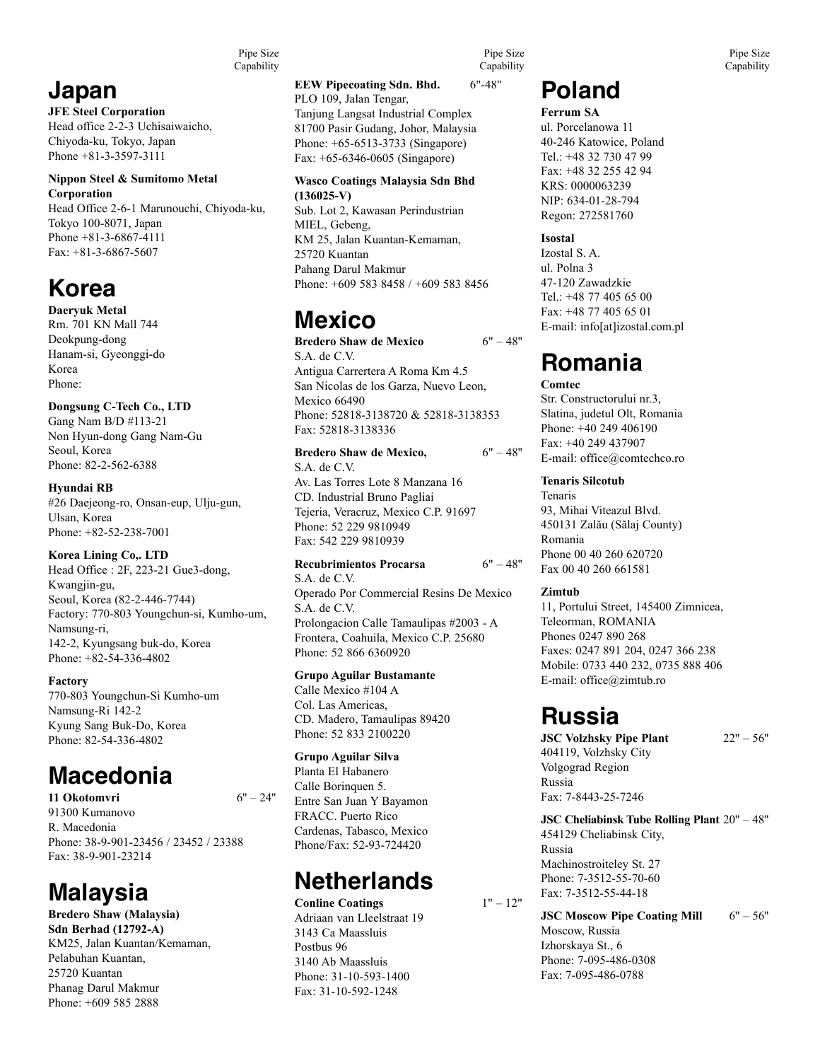Pipe Size Capability

## **Japan**

**JFE Steel Corporation**  Head office 2-2-3 Uchisaiwaicho, Chiyoda-ku, Tokyo, Japan Phone +81-3-3597-3111

#### **Nippon Steel & Sumitomo Metal Corporation**

Head Office 2-6-1 Marunouchi, Chiyoda-ku, Tokyo 100-8071, Japan Phone +81-3-6867-4111 Fax: +81-3-6867-5607

## **Korea**

**Daeryuk Metal** Rm. 701 KN Mall 744 Deokpung-dong Hanam-si, Gyeonggi-do Korea Phone:

#### **Dongsung C-Tech Co., LTD**

Gang Nam B/D #113-21 Non Hyun-dong Gang Nam-Gu Seoul, Korea Phone: 82-2-562-6388

**Hyundai RB** #26 Daejeong-ro, Onsan-eup, Ulju-gun, Ulsan, Korea Phone: +82-52-238-7001

#### **Korea Lining Co,. LTD**

Head Office : 2F, 223-21 Gue3-dong, Kwangjin-gu, Seoul, Korea (82-2-446-7744) Factory: 770-803 Youngchun-si, Kumho-um, Namsung-ri, 142-2, Kyungsang buk-do, Korea Phone: +82-54-336-4802

#### **Factory**

770-803 Youngchun-Si Kumho-um Namsung-Ri 142-2 Kyung Sang Buk-Do, Korea Phone: 82-54-336-4802

## **Macedonia**

**11 Okotomvri** 6'' – 24'' 91300 Kumanovo R. Macedonia Phone: 38-9-901-23456 / 23452 / 23388 Fax: 38-9-901-23214

# **Malaysia**

**Bredero Shaw (Malaysia) Sdn Berhad (12792-A)** KM25, Jalan Kuantan/Kemaman, Pelabuhan Kuantan, 25720 Kuantan Phanag Darul Makmur Phone: +609 585 2888

#### **EEW Pipecoating Sdn. Bhd.** 6"-48" PLO 109, Jalan Tengar,

Tanjung Langsat Industrial Complex 81700 Pasir Gudang, Johor, Malaysia Phone: +65-6513-3733 (Singapore) Fax: +65-6346-0605 (Singapore)

#### **Wasco Coatings Malaysia Sdn Bhd**

**(136025-V)** Sub. Lot 2, Kawasan Perindustrian MIEL, Gebeng, KM 25, Jalan Kuantan-Kemaman, 25720 Kuantan Pahang Darul Makmur Phone: +609 583 8458 / +609 583 8456

## **Mexico**

**Bredero Shaw de Mexico** 6" – 48'' S.A. de C.V. Antigua Carrertera A Roma Km 4.5 San Nicolas de los Garza, Nuevo Leon, Mexico 66490 Phone: 52818-3138720 & 52818-3138353 Fax: 52818-3138336

**Bredero Shaw de Mexico,**  $6" - 48"$ S.A. de C.V. Av. Las Torres Lote 8 Manzana 16 CD. Industrial Bruno Pagliai Tejeria, Veracruz, Mexico C.P. 91697 Phone: 52 229 9810949 Fax: 542 229 9810939

#### **Recubrimientos Procarsa** 6" – 48''

S.A. de C.V. Operado Por Commercial Resins De Mexico S.A. de C.V. Prolongacion Calle Tamaulipas #2003 - A Frontera, Coahuila, Mexico C.P. 25680 Phone: 52 866 6360920

#### **Grupo Aguilar Bustamante**

Calle Mexico #104 A Col. Las Americas, CD. Madero, Tamaulipas 89420 Phone: 52 833 2100220

#### **Grupo Aguilar Silva**

Planta El Habanero Calle Borinquen 5. Entre San Juan Y Bayamon FRACC. Puerto Rico Cardenas, Tabasco, Mexico Phone/Fax: 52-93-724420

### **Netherlands**

**Conline Coatings** 1" – 12" Adriaan van Lleelstraat 19 3143 Ca Maassluis Postbus 96 3140 Ab Maassluis Phone: 31-10-593-1400 Fax: 31-10-592-1248

Pipe Size Capability

### **Poland**

**Ferrum SA** ul. Porcelanowa 11 40-246 Katowice, Poland Tel.: +48 32 730 47 99 Fax: +48 32 255 42 94 KRS: 0000063239 NIP: 634-01-28-794 Regon: 272581760

#### **Isostal**

Izostal S. A. ul. Polna 3 47-120 Zawadzkie Tel.: +48 77 405 65 00 Fax: +48 77 405 65 01 E-mail: info[at]izostal.com.pl

## **Romania**

#### **Comtec**

Str. Constructorului nr.3, Slatina, judetul Olt, Romania Phone: +40 249 406190 Fax: +40 249 437907 E-mail: office@comtechco.ro

#### **Tenaris Silcotub**

Tenaris 93, Mihai Viteazul Blvd. 450131 Zalău (Sălaj County) Romania Phone 00 40 260 620720 Fax 00 40 260 661581

#### **Zimtub**

11, Portului Street, 145400 Zimnicea, Teleorman, ROMANIA Phones 0247 890 268 Faxes: 0247 891 204, 0247 366 238 Mobile: 0733 440 232, 0735 888 406 E-mail: office@zimtub.ro

### **Russia**

**JSC Volzhsky Pipe Plant**  $22" - 56"$ 

404119, Volzhsky City Volgograd Region Russia Fax: 7-8443-25-7246

#### **JSC Cheliabinsk Tube Rolling Plant** 20'' – 48''

454129 Cheliabinsk City, Russia Machinostroiteley St. 27 Phone: 7-3512-55-70-60 Fax: 7-3512-55-44-18

**JSC Moscow Pipe Coating Mill** 6" – 56" Moscow, Russia

Izhorskaya St., 6 Phone: 7-095-486-0308 Fax: 7-095-486-0788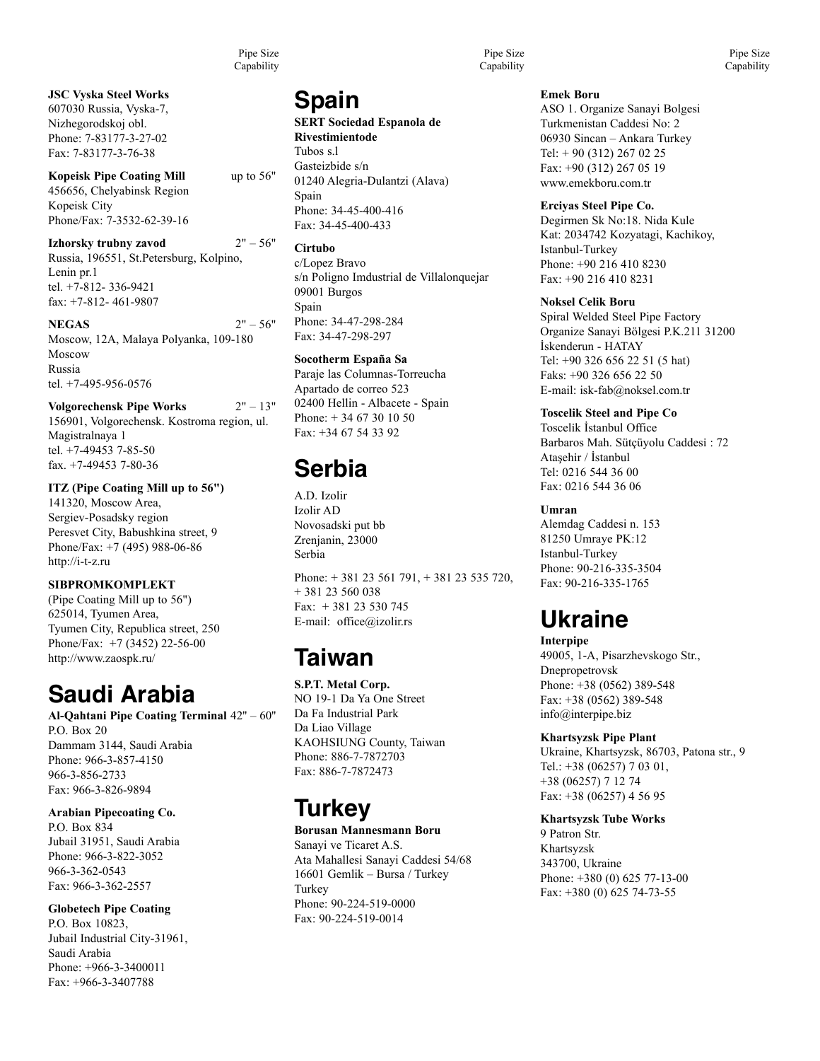Pipe Size Capability

**JSC Vyska Steel Works** 607030 Russia, Vyska-7, Nizhegorodskoj obl. Phone: 7-83177-3-27-02 Fax: 7-83177-3-76-38

#### **Kopeisk Pipe Coating Mill** up to 56" 456656, Chelyabinsk Region Kopeisk City Phone/Fax: 7-3532-62-39-16

**Izhorsky trubny zavod** 2" – 56" Russia, 196551, St.Petersburg, Kolpino, Lenin pr.1 tel. +7-812- 336-9421 fax: +7-812- 461-9807

#### **NEGAS** 2" – 56" Moscow, 12A, Malaya Polyanka, 109-180 Moscow Russia tel. +7-495-956-0576

**Volgorechensk Pipe Works** 2" – 13" 156901, Volgorechensk. Kostroma region, ul. Magistralnaya 1 tel. +7-49453 7-85-50 fax. +7-49453 7-80-36

**ITZ (Pipe Coating Mill up to 56")** 141320, Moscow Area, Sergiev-Posadsky region Peresvet City, Babushkina street, 9 Phone/Fax: +7 (495) 988-06-86 http://i-t-z.ru

#### **SIBPROMKOMPLEKT** (Pipe Coating Mill up to 56") 625014, Tyumen Area, Tyumen City, Republica street, 250 Phone/Fax: +7 (3452) 22-56-00 http://www.zaospk.ru/

## **Saudi Arabia**

**Al-Qahtani Pipe Coating Terminal** 42'' – 60'' P.O. Box 20 Dammam 3144, Saudi Arabia Phone: 966-3-857-4150 966-3-856-2733 Fax: 966-3-826-9894

#### **Arabian Pipecoating Co.** P.O. Box 834

Jubail 31951, Saudi Arabia Phone: 966-3-822-3052 966-3-362-0543 Fax: 966-3-362-2557

#### **Globetech Pipe Coating**

P.O. Box 10823, Jubail Industrial City-31961, Saudi Arabia Phone: +966-3-3400011 Fax: +966-3-3407788

## **Spain**

**SERT Sociedad Espanola de Rivestimientode** Tubos s.l Gasteizbide s/n 01240 Alegria-Dulantzi (Alava) Spain Phone: 34-45-400-416 Fax: 34-45-400-433

**Cirtubo** c/Lopez Bravo s/n Poligno Imdustrial de Villalonquejar 09001 Burgos Spain Phone: 34-47-298-284 Fax: 34-47-298-297

#### **Socotherm España Sa**  Paraje las Columnas-Torreucha Apartado de correo 523 02400 Hellin - Albacete - Spain Phone: + 34 67 30 10 50 Fax: +34 67 54 33 92

# **Serbia**

A.D. Izolir Izolir AD Novosadski put bb Zrenjanin, 23000 Serbia

Phone: + 381 23 561 791, + 381 23 535 720, + 381 23 560 038 Fax: + 381 23 530 745 E-mail: office@izolir.rs

# **Taiwan**

**S.P.T. Metal Corp.** NO 19-1 Da Ya One Street Da Fa Industrial Park Da Liao Village KAOHSIUNG County, Taiwan Phone: 886-7-7872703 Fax: 886-7-7872473

## **Turkey**

#### **Borusan Mannesmann Boru**

Sanayi ve Ticaret A.S. Ata Mahallesi Sanayi Caddesi 54/68 16601 Gemlik – Bursa / Turkey Turkey Phone: 90-224-519-0000 Fax: 90-224-519-0014

Pipe Size Capability

**Emek Boru**

ASO 1. Organize Sanayi Bolgesi Turkmenistan Caddesi No: 2 06930 Sincan – Ankara Turkey Tel: + 90 (312) 267 02 25 Fax: +90 (312) 267 05 19 www.emekboru.com.tr

#### **Erciyas Steel Pipe Co.**

Degirmen Sk No:18. Nida Kule Kat: 2034742 Kozyatagi, Kachikoy, Istanbul-Turkey Phone: +90 216 410 8230 Fax: +90 216 410 8231

#### **Noksel Celik Boru**

Spiral Welded Steel Pipe Factory Organize Sanayi Bölgesi P.K.211 31200 İskenderun - HATAY Tel: +90 326 656 22 51 (5 hat) Faks: +90 326 656 22 50 E-mail: isk-fab@noksel.com.tr

#### **Toscelik Steel and Pipe Co**

Tosceli̇k İstanbul Office Barbaros Mah. Sütçüyolu Caddesi̇ : 72 Ataşehi̇r / İstanbul Tel: 0216 544 36 00 Fax: 0216 544 36 06

#### **Umran**

Alemdag Caddesi n. 153 81250 Umraye PK:12 Istanbul-Turkey Phone: 90-216-335-3504 Fax: 90-216-335-1765

## **Ukraine**

**Interpipe** 49005, 1-A, Pisarzhevskogo Str., Dnepropetrovsk Phone: +38 (0562) 389-548 Fax: +38 (0562) 389-548 info@interpipe.biz

#### **Khartsyzsk Pipe Plant**

Ukraine, Khartsyzsk, 86703, Patona str., 9 Tel.: +38 (06257) 7 03 01, +38 (06257) 7 12 74 Fax: +38 (06257) 4 56 95

#### **Khartsyzsk Tube Works**

9 Patron Str. Khartsyzsk 343700, Ukraine Phone: +380 (0) 625 77-13-00 Fax: +380 (0) 625 74-73-55

Pipe Size **Capability**